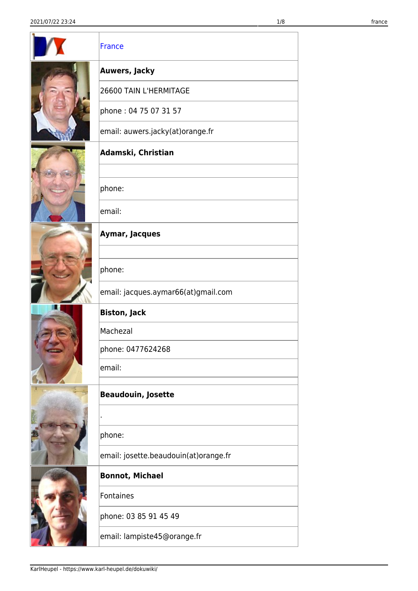<span id="page-0-0"></span>

|  | <b>France</b>                         |
|--|---------------------------------------|
|  | <b>Auwers, Jacky</b>                  |
|  | 26600 TAIN L'HERMITAGE                |
|  | phone: 04 75 07 31 57                 |
|  | email: auwers.jacky(at)orange.fr      |
|  | Adamski, Christian                    |
|  |                                       |
|  | phone:                                |
|  | email:                                |
|  | Aymar, Jacques                        |
|  |                                       |
|  | phone:                                |
|  | email: jacques.aymar66(at)gmail.com   |
|  | <b>Biston, Jack</b>                   |
|  | Machezal                              |
|  | phone: 0477624268                     |
|  | email:                                |
|  | <b>Beaudouin, Josette</b>             |
|  |                                       |
|  | phone:                                |
|  | email: josette.beaudouin(at)orange.fr |
|  | <b>Bonnot, Michael</b>                |
|  | Fontaines                             |
|  | phone: 03 85 91 45 49                 |
|  | email: lampiste45@orange.fr           |
|  |                                       |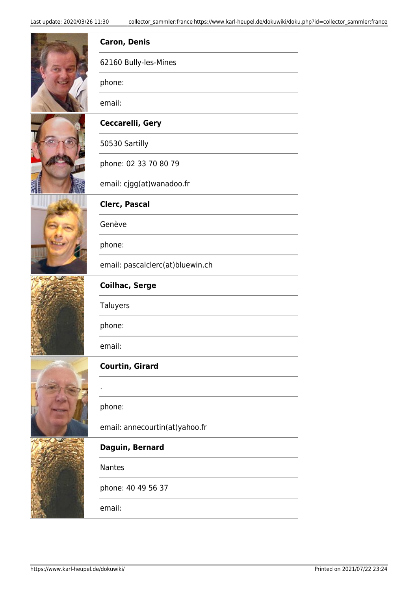|  | <b>Caron, Denis</b>              |
|--|----------------------------------|
|  | 62160 Bully-les-Mines            |
|  | phone:                           |
|  | email:                           |
|  | Ceccarelli, Gery                 |
|  | 50530 Sartilly                   |
|  | phone: 02 33 70 80 79            |
|  | email: cjgg(at)wanadoo.fr        |
|  | <b>Clerc, Pascal</b>             |
|  | Genève                           |
|  | phone:                           |
|  | email: pascalclerc(at)bluewin.ch |
|  | <b>Coilhac, Serge</b>            |
|  | <b>Taluyers</b>                  |
|  | phone:                           |
|  | email:                           |
|  |                                  |
|  | <b>Courtin, Girard</b>           |
|  |                                  |
|  | phone:                           |
|  | email: annecourtin(at)yahoo.fr   |
|  | Daguin, Bernard                  |
|  | <b>Nantes</b>                    |
|  | phone: 40 49 56 37               |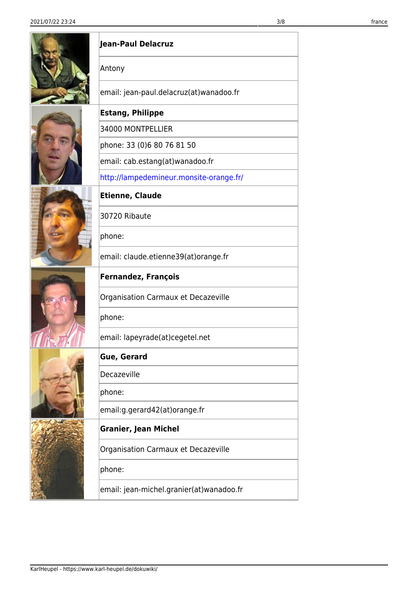|  | Jean-Paul Delacruz                       |
|--|------------------------------------------|
|  | Antony                                   |
|  | email: jean-paul.delacruz(at)wanadoo.fr  |
|  | <b>Estang, Philippe</b>                  |
|  | 34000 MONTPELLIER                        |
|  | phone: 33 (0)6 80 76 81 50               |
|  | email: cab.estang(at)wanadoo.fr          |
|  | http://lampedemineur.monsite-orange.fr/  |
|  | <b>Etienne, Claude</b>                   |
|  | 30720 Ribaute                            |
|  | phone:                                   |
|  | email: claude.etienne39(at)orange.fr     |
|  | <b>Fernandez, François</b>               |
|  | Organisation Carmaux et Decazeville      |
|  | phone:                                   |
|  | email: lapeyrade(at)cegetel.net          |
|  | <b>Gue, Gerard</b>                       |
|  | Decazeville                              |
|  | phone:                                   |
|  | email:g.gerard42(at)orange.fr            |
|  | <b>Granier, Jean Michel</b>              |
|  | Organisation Carmaux et Decazeville      |
|  | phone:                                   |
|  | email: jean-michel.granier(at)wanadoo.fr |

シノレン こめなげ イドロット

*<b>PERMIT ANNUS*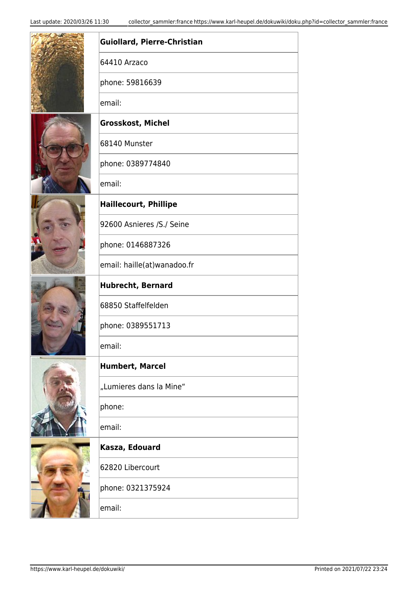|  | Guiollard, Pierre-Christian  |
|--|------------------------------|
|  | 64410 Arzaco                 |
|  | phone: 59816639              |
|  | email:                       |
|  | Grosskost, Michel            |
|  | 68140 Munster                |
|  | phone: 0389774840            |
|  | email:                       |
|  | <b>Haillecourt, Phillipe</b> |
|  | 92600 Asnieres /S./ Seine    |
|  | phone: 0146887326            |
|  | email: haille(at)wanadoo.fr  |
|  | <b>Hubrecht, Bernard</b>     |
|  | 68850 Staffelfelden          |
|  | phone: 0389551713            |
|  | email:                       |
|  | <b>Humbert, Marcel</b>       |
|  | "Lumieres dans la Mine"      |
|  | phone:                       |
|  | email:                       |
|  | Kasza, Edouard               |
|  | 62820 Libercourt             |
|  | phone: 0321375924            |
|  | email:                       |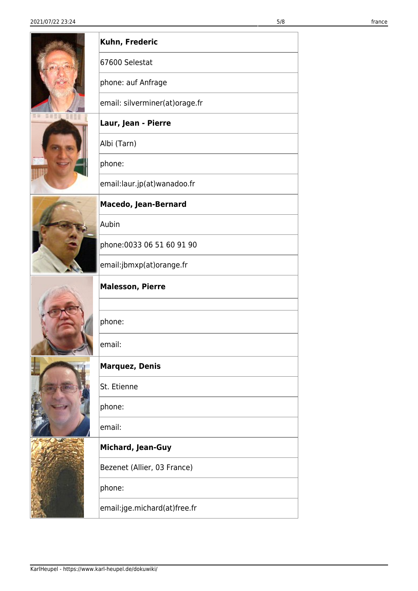|  | Kuhn, Frederic                 |
|--|--------------------------------|
|  | 67600 Selestat                 |
|  | phone: auf Anfrage             |
|  | email: silverminer(at)orage.fr |
|  | Laur, Jean - Pierre            |
|  | Albi (Tarn)                    |
|  | phone:                         |
|  | email:laur.jp(at)wanadoo.fr    |
|  | <b>Macedo, Jean-Bernard</b>    |
|  | Aubin                          |
|  | phone: 0033 06 51 60 91 90     |
|  | email:jbmxp(at)orange.fr       |
|  | <b>Malesson, Pierre</b>        |
|  |                                |
|  | phone:                         |
|  | email:                         |
|  | <b>Marquez, Denis</b>          |
|  | St. Etienne                    |
|  | phone:                         |
|  | email:                         |
|  | <b>Michard, Jean-Guy</b>       |
|  | Bezenet (Allier, 03 France)    |
|  | phone:                         |
|  | email:jge.michard(at)free.fr   |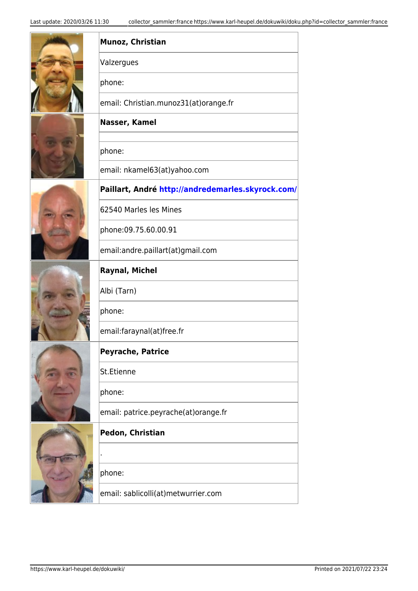|  | Munoz, Christian                                  |
|--|---------------------------------------------------|
|  | Valzergues                                        |
|  | phone:                                            |
|  | email: Christian.munoz31(at)orange.fr             |
|  | Nasser, Kamel                                     |
|  | phone:                                            |
|  | email: nkamel63(at)yahoo.com                      |
|  | Paillart, André http://andredemarles.skyrock.com/ |
|  | 62540 Marles les Mines                            |
|  | phone:09.75.60.00.91                              |
|  | email:andre.paillart(at)gmail.com                 |
|  | <b>Raynal, Michel</b>                             |
|  | Albi (Tarn)                                       |
|  | phone:                                            |
|  | email:faraynal(at)free.fr                         |
|  | <b>Peyrache, Patrice</b>                          |
|  | St.Etienne                                        |
|  | phone:                                            |
|  | email: patrice.peyrache(at)orange.fr              |
|  | Pedon, Christian                                  |
|  |                                                   |
|  | phone:                                            |
|  | email: sablicolli(at)metwurrier.com               |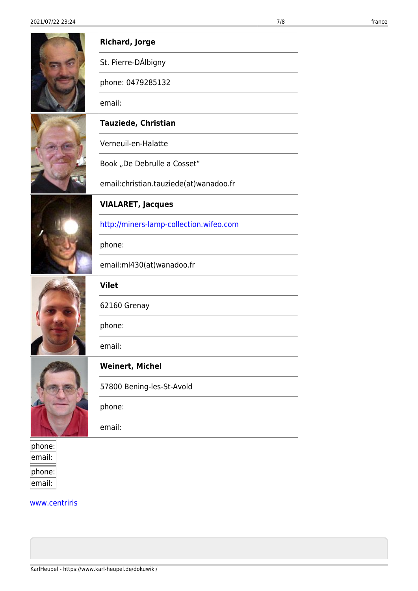|        | <b>Richard, Jorge</b>                   |
|--------|-----------------------------------------|
|        | St. Pierre-DÁlbigny                     |
|        | phone: 0479285132                       |
|        | email:                                  |
|        | <b>Tauziede, Christian</b>              |
|        | Verneuil-en-Halatte                     |
|        | Book "De Debrulle a Cosset"             |
|        | email:christian.tauziede(at)wanadoo.fr  |
|        | <b>VIALARET, Jacques</b>                |
|        | http://miners-lamp-collection.wifeo.com |
|        | phone:                                  |
|        | email:ml430(at)wanadoo.fr               |
|        | Vilet                                   |
|        | 62160 Grenay                            |
|        | phone:                                  |
|        | email:                                  |
|        | <b>Weinert, Michel</b>                  |
|        | 57800 Bening-les-St-Avold               |
|        | phone:                                  |
|        | email:                                  |
| phone: |                                         |
| email: |                                         |

[www.centriris](http://www.centriris.fr/)

phone: email: